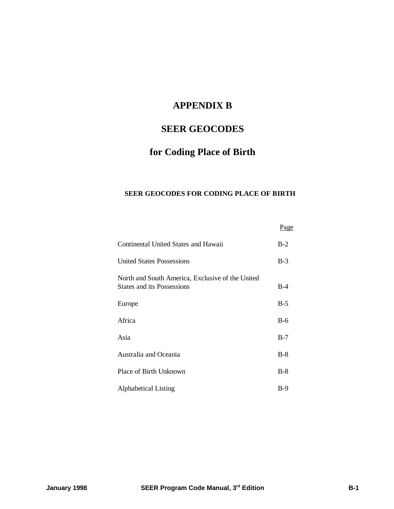## **APPENDIX B**

# **SEER GEOCODES**

# **for Coding Place of Birth**

## **SEER GEOCODES FOR CODING PLACE OF BIRTH**

|                                                                                       | <u>Page</u> |
|---------------------------------------------------------------------------------------|-------------|
| Continental United States and Hawaii                                                  | $B-2$       |
| <b>United States Possessions</b>                                                      | $B-3$       |
| North and South America, Exclusive of the United<br><b>States and its Possessions</b> | $B-4$       |
| Europe                                                                                | $B-5$       |
| Africa                                                                                | $B-6$       |
| Asia                                                                                  | $B-7$       |
| Australia and Oceania                                                                 | $B-8$       |
| Place of Birth Unknown                                                                | $B-8$       |
| <b>Alphabetical Listing</b>                                                           | $B-9$       |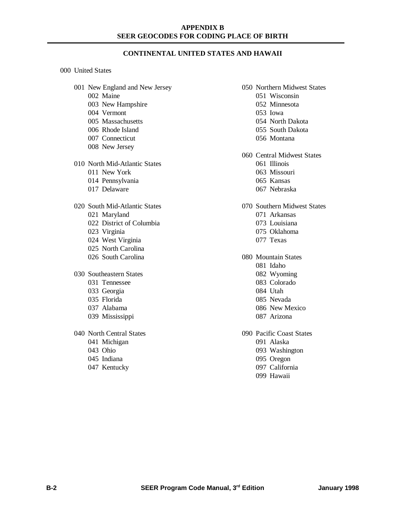### **CONTINENTAL UNITED STATES AND HAWAII**

#### United States

- New England and New Jersey Maine
	- New Hampshire
	- Vermont
	- Massachusetts
	- Rhode Island
	- Connecticut
	- New Jersey

North Mid-Atlantic States

- New York
- Pennsylvania
- Delaware
- South Mid-Atlantic States Maryland District of Columbia Virginia West Virginia North Carolina South Carolina
- Southeastern States Tennessee
	- Georgia
	- Florida
	- Alabama
	- Mississippi
- North Central States
	- Michigan
	- Ohio
	- Indiana
	- Kentucky
- Northern Midwest States
	- Wisconsin
	- Minnesota
	- Iowa
	- North Dakota
	- South Dakota
	- Montana
- Central Midwest States
	- Illinois
	- Missouri
	- Kansas
	- Nebraska
- Southern Midwest States
	- Arkansas
	- Louisiana
	- Oklahoma
	- Texas
- Mountain States
	- Idaho
	- Wyoming
	- Colorado
	- Utah
	- Nevada
	- New Mexico
	- Arizona
- Pacific Coast States
	- Alaska
	- Washington
	- Oregon
	- California Hawaii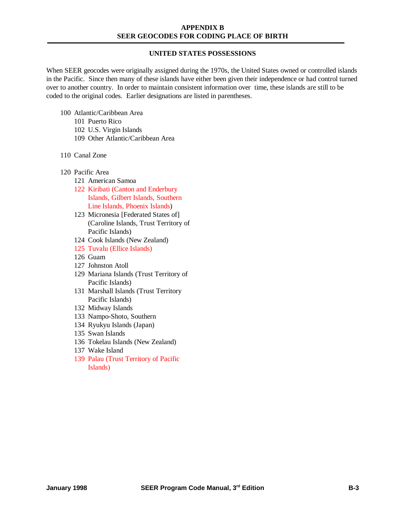## **UNITED STATES POSSESSIONS**

When SEER geocodes were originally assigned during the 1970s, the United States owned or controlled islands in the Pacific. Since then many of these islands have either been given their independence or had control turned over to another country. In order to maintain consistent information over time, these islands are still to be coded to the original codes. Earlier designations are listed in parentheses.

- 100 Atlantic/Caribbean Area
	- 101 Puerto Rico
	- 102 U.S. Virgin Islands
	- 109 Other Atlantic/Caribbean Area
- 110 Canal Zone
- 120 Pacific Area
	- 121 American Samoa
	- 122 Kiribati (Canton and Enderbury Islands, Gilbert Islands, Southern Line Islands, Phoenix Islands)
	- 123 Micronesia [Federated States of] (Caroline Islands, Trust Territory of Pacific Islands)
	- 124 Cook Islands (New Zealand)
	- 125 Tuvalu (Ellice Islands)
	- 126 Guam
	- 127 Johnston Atoll
	- 129 Mariana Islands (Trust Territory of Pacific Islands)
	- 131 Marshall Islands (Trust Territory Pacific Islands)
	- 132 Midway Islands
	- 133 Nampo-Shoto, Southern
	- 134 Ryukyu Islands (Japan)
	- 135 Swan Islands
	- 136 Tokelau Islands (New Zealand)
	- 137 Wake Island
	- 139 Palau (Trust Territory of Pacific Islands)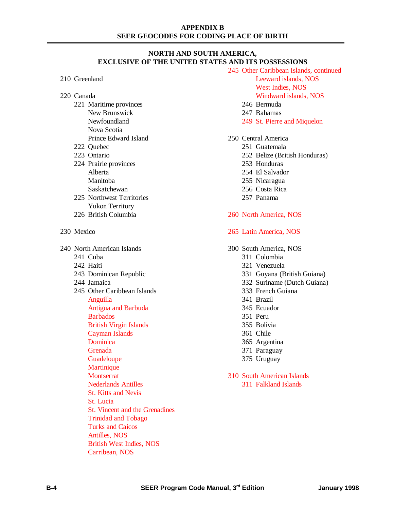## **NORTH AND SOUTH AMERICA, EXCLUSIVE OF THE UNITED STATES AND ITS POSSESSIONS**

| 210 Greenland |                                                                                                       |  |  |
|---------------|-------------------------------------------------------------------------------------------------------|--|--|
| 220 Canada    | 221 Maritime provinces<br>New Brunswick<br>Newfoundland<br>Nova Scotia<br><b>Prince Edward Island</b> |  |  |
|               | 222 Quebec                                                                                            |  |  |
|               | 223 Ontario                                                                                           |  |  |
|               | 224 Prairie provinces                                                                                 |  |  |
|               | Alberta<br>Manitoba<br>Saskatchewan                                                                   |  |  |
|               | 225 Northwest Territories                                                                             |  |  |
|               | <b>Yukon Territory</b>                                                                                |  |  |
|               | 226 British Columbia                                                                                  |  |  |
| 230 Mexico    |                                                                                                       |  |  |
|               | 240 North American Islands                                                                            |  |  |
|               | 241 Cuba                                                                                              |  |  |
|               | 242 Haiti                                                                                             |  |  |
|               | 243 Dominican Republic                                                                                |  |  |
|               | 244 Jamaica                                                                                           |  |  |
|               | 245 Other Caribbean Islands                                                                           |  |  |
|               | Anguilla                                                                                              |  |  |
|               | <b>Antigua and Barbuda</b>                                                                            |  |  |
|               | <b>Barbados</b>                                                                                       |  |  |
|               | <b>British Virgin Islands</b>                                                                         |  |  |
|               | <b>Cayman Islands</b>                                                                                 |  |  |
|               | Dominica                                                                                              |  |  |
|               | Grenada                                                                                               |  |  |
|               | Guadeloupe<br>Martinique                                                                              |  |  |
|               | <b>Montserrat</b>                                                                                     |  |  |
|               | <b>Nederlands Antilles</b>                                                                            |  |  |
|               | <b>St. Kitts and Nevis</b>                                                                            |  |  |
|               | St. Lucia                                                                                             |  |  |
|               | St. Vincent and the Grenadines                                                                        |  |  |
|               | <b>Trinidad and Tobago</b>                                                                            |  |  |
|               | <b>Turks and Caicos</b>                                                                               |  |  |
|               | Antilles, NOS                                                                                         |  |  |
|               | <b>British West Indies, NOS</b>                                                                       |  |  |

Carribean, NOS

245 Other Caribbean Islands, continued Leeward islands, NOS West Indies, NOS Windward islands, NOS 246 Bermuda 247 Bahamas 249 St. Pierre and Miquelon 250 Central America 251 Guatemala 252 Belize (British Honduras) 253 Honduras 254 El Salvador 255 Nicaragua 256 Costa Rica 257 Panama 260 North America, NOS 265 Latin America, NOS 300 South America, NOS 311 Colombia 321 Venezuela 331 Guyana (British Guiana) 332 Suriname (Dutch Guiana) 333 French Guiana 341 Brazil 345 Ecuador 351 Peru 355 Bolivia 361 Chile 365 Argentina 371 Paraguay 375 Uruguay 310 South American Islands 311 Falkland Islands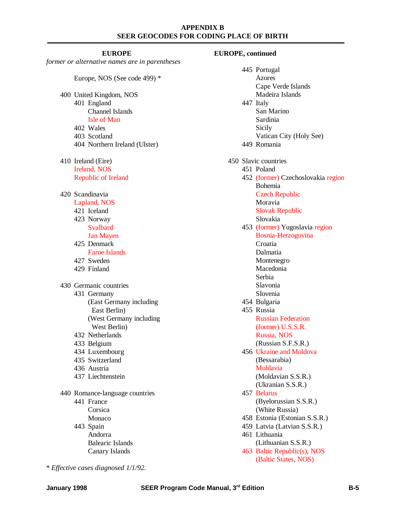#### **EUROPE**

*former or alternative names are in parentheses*

Europe, NOS (See code 499) \*

- 400 United Kingdom, NOS 401 England
	- Channel Islands
	- Isle of Man
	- 402 Wales
	- 403 Scotland
	- 404 Northern Ireland (Ulster)
- 410 Ireland (Eire) Ireland, NOS Republic of Ireland
- 420 Scandinavia

Lapland, NOS

- 421 Iceland 423 Norway
- Svalbard
- Jan Mayen
- 425 Denmark Faroe Islands
- 427 Sweden
- 429 Finland

430 Germanic countries

- 431 Germany
	- (East Germany including East Berlin)
		- (West Germany including West Berlin)
- 432 Netherlands
- 433 Belgium
- 434 Luxembourg
- 435 Switzerland
- 436 Austria
- 437 Liechtenstein
- 440 Romance-language countries 441 France Corsica
	- Monaco

\* *Effective cases diagnosed 1/1/92.*

443 Spain Andorra Balearic Islands Canary Islands

445 Portugal Azores Cape Verde Islands Madeira Islands 447 Italy San Marino Sardinia Sicily Vatican City (Holy See) 449 Romania 450 Slavic countries 451 Poland 452 (former) Czechoslovakia region Bohemia Czech Republic Moravia Slovak Republic Slovakia 453 (former) Yugoslavia region Bosnia-Herzogovina Croatia Dalmatia Montenegro Macedonia Serbia Slavonia Slovenia 454 Bulgaria 455 Russia Russian Federation (former) U.S.S.R. Russia, NOS (Russian S.F.S.R.) 456 Ukraine and Moldova (Bessarabia) Moldavia (Moldavian S.S.R.) (Ukranian S.S.R.) 457 Belarus (Byelorussian S.S.R.) (White Russia) 458 Estonia (Estonian S.S.R.) 459 Latvia (Latvian S.S.R.) 461 Lithuania (Lithuanian S.S.R.) 463 Baltic Republic(s), NOS (Baltic States, NOS)

**EUROPE, continued**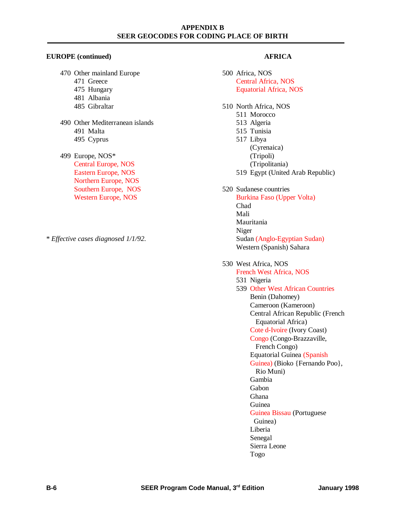#### **EUROPE (continued)**

- 470 Other mainland Europe
	- 471 Greece
	- 475 Hungary
	- 481 Albania
	- 485 Gibraltar
- 490 Other Mediterranean islands 491 Malta 495 Cyprus
- 499 Europe, NOS\* Central Europe, NOS Eastern Europe, NOS Northern Europe, NOS Southern Europe, NOS Western Europe, NOS
- \* *Effective cases diagnosed 1/1/92.*

## **AFRICA**

- 500 Africa, NOS Central Africa, NOS Equatorial Africa, NOS
- 510 North Africa, NOS
	- 511 Morocco
	- 513 Algeria
	- 515 Tunisia
	- 517 Libya (Cyrenaica)
		- (Tripoli)
		- (Tripolitania)
	- 519 Egypt (United Arab Republic)

## 520 Sudanese countries

Burkina Faso (Upper Volta) Chad Mali Mauritania Niger Sudan (Anglo-Egyptian Sudan) Western (Spanish) Sahara

## 530 West Africa, NOS

## French West Africa, NOS

- 531 Nigeria
- 539 Other West African Countries Benin (Dahomey) Cameroon (Kameroon) Central African Republic (French Equatorial Africa) Cote d-Ivoire (Ivory Coast) Congo (Congo-Brazzaville, French Congo) Equatorial Guinea (Spanish Guinea) (Bioko {Fernando Poo}, Rio Muni) Gambia Gabon Ghana Guinea Guinea Bissau (Portuguese Guinea) Liberia Senegal

Sierra Leone

Togo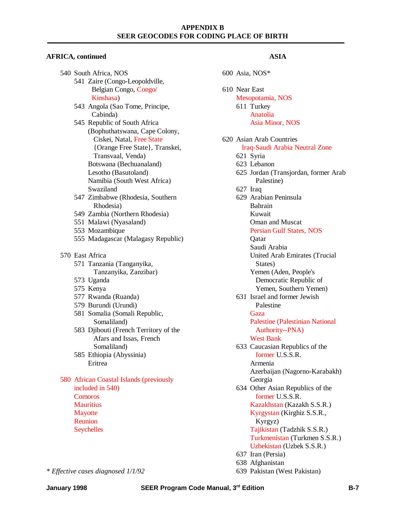#### **AFRICA, continued**

|  | 540 South Africa, NOS                   |                                       |  |  |  |
|--|-----------------------------------------|---------------------------------------|--|--|--|
|  | 541 Zaire (Congo-Leopoldville,          |                                       |  |  |  |
|  | Belgian Congo, Congo/                   |                                       |  |  |  |
|  |                                         | Kinshasa)                             |  |  |  |
|  |                                         | 543 Angola (Sao Tome, Principe,       |  |  |  |
|  |                                         | Cabinda)                              |  |  |  |
|  | 545 Republic of South Africa            |                                       |  |  |  |
|  | (Bophuthatswana, Cape Colony,           |                                       |  |  |  |
|  |                                         | Ciskei, Natal, Free State             |  |  |  |
|  |                                         | {Orange Free State}, Transkei,        |  |  |  |
|  |                                         | Transvaal, Venda)                     |  |  |  |
|  | Botswana (Bechuanaland)                 |                                       |  |  |  |
|  |                                         | Lesotho (Basutoland)                  |  |  |  |
|  |                                         | Namibia (South West Africa)           |  |  |  |
|  |                                         | Swaziland                             |  |  |  |
|  |                                         | 547 Zimbabwe (Rhodesia, Southern      |  |  |  |
|  |                                         | Rhodesia)                             |  |  |  |
|  |                                         | 549 Zambia (Northern Rhodesia)        |  |  |  |
|  |                                         | 551 Malawi (Nyasaland)                |  |  |  |
|  |                                         | 553 Mozambique                        |  |  |  |
|  |                                         | 555 Madagascar (Malagasy Republic)    |  |  |  |
|  | 570 East Africa                         |                                       |  |  |  |
|  |                                         | 571 Tanzania (Tanganyika,             |  |  |  |
|  |                                         | Tanzanyika, Zanzibar)                 |  |  |  |
|  |                                         | 573 Uganda                            |  |  |  |
|  |                                         | 575 Kenya                             |  |  |  |
|  |                                         | 577 Rwanda (Ruanda)                   |  |  |  |
|  |                                         | 579 Burundi (Urundi)                  |  |  |  |
|  | 581 Somalia (Somali Republic,           |                                       |  |  |  |
|  |                                         | Somaliland)                           |  |  |  |
|  |                                         | 583 Djibouti (French Territory of the |  |  |  |
|  |                                         | Afars and Issas, French               |  |  |  |
|  |                                         | Somaliland)                           |  |  |  |
|  |                                         | 585 Ethiopia (Abyssinia)              |  |  |  |
|  |                                         | Eritrea                               |  |  |  |
|  |                                         |                                       |  |  |  |
|  | 580 African Coastal Islands (previously |                                       |  |  |  |
|  | included in 540)<br>Comoros             |                                       |  |  |  |
|  |                                         |                                       |  |  |  |
|  | <b>Mauritius</b>                        |                                       |  |  |  |
|  | Mayotte<br>Reunion                      |                                       |  |  |  |
|  | <b>Seychelles</b>                       |                                       |  |  |  |
|  |                                         |                                       |  |  |  |
|  |                                         |                                       |  |  |  |

## **ASIA**

|  | 600 Asia, NOS*                         |
|--|----------------------------------------|
|  | 610 Near East                          |
|  | Mesopotamia, NOS                       |
|  | 611 Turkey                             |
|  | Anatolia                               |
|  | Asia Minor, NOS                        |
|  |                                        |
|  | 620 Asian Arab Countries               |
|  | Iraq-Saudi Arabia Neutral Zone         |
|  | 621 Syria                              |
|  | 623 Lebanon                            |
|  | 625 Jordan (Transjordan, former Arab   |
|  | Palestine)                             |
|  | 627 Iraq                               |
|  | 629 Arabian Peninsula                  |
|  | Bahrain                                |
|  | Kuwait                                 |
|  | <b>Oman and Muscat</b>                 |
|  | Persian Gulf States, NOS               |
|  | Qatar                                  |
|  | Saudi Arabia                           |
|  | United Arab Emirates (Trucial          |
|  | States)                                |
|  | Yemen (Aden, People's                  |
|  | Democratic Republic of                 |
|  | Yemen, Southern Yemen)                 |
|  | 631 Israel and former Jewish           |
|  | Palestine                              |
|  | Gaza                                   |
|  | <b>Palestine (Palestinian National</b> |
|  | Authority--PNA)                        |
|  | <b>West Bank</b>                       |
|  | 633 Caucasian Republics of the         |
|  | former U.S.S.R.                        |
|  | Armenia                                |
|  | Azerbaijan (Nagorno-Karabakh)          |
|  | Georgia                                |
|  | 634 Other Asian Republics of the       |
|  | former U.S.S.R.                        |
|  | Kazakhstan (Kazakh S.S.R.)             |
|  | Kyrgystan (Kirghiz S.S.R.,             |
|  | Kyrgyz)                                |
|  | Tajikistan (Tadzhik S.S.R.)            |
|  | Turkmenistan (Turkmen S.S.R.)          |
|  | Uzbekistan (Uzbek S.S.R.)              |
|  | 637 Iran (Persia)                      |
|  | 638 Afghanistan                        |
|  | 639 Pakistan (West Pakistan)           |

*\* Effective cases diagnosed 1/1/92*

**January 1998 SEER Program Code Manual, 3rd Edition B-7**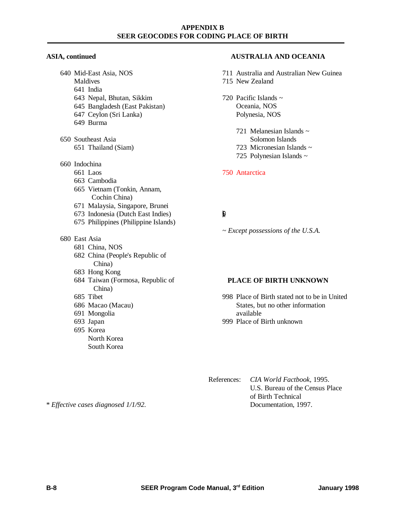#### **ASIA, continued**

- 640 Mid-East Asia, NOS
	- Maldives
	- 641 India
	- 643 Nepal, Bhutan, Sikkim
	- 645 Bangladesh (East Pakistan)
	- 647 Ceylon (Sri Lanka)
	- 649 Burma
- 650 Southeast Asia 651 Thailand (Siam)
- 660 Indochina
	- 661 Laos
	- 663 Cambodia
	- 665 Vietnam (Tonkin, Annam, Cochin China)
	- 671 Malaysia, Singapore, Brunei
	- 673 Indonesia (Dutch East Indies)
	- 675 Philippines (Philippine Islands)

## 680 East Asia

- 681 China, NOS
- 682 China (People's Republic of China)
- 683 Hong Kong
- 684 Taiwan (Formosa, Republic of China)
- 685 Tibet
- 686 Macao (Macau)
- 691 Mongolia
- 693 Japan
- 695 Korea North Korea South Korea

## **AUSTRALIA AND OCEANIA**

- 711 Australia and Australian New Guinea 715 New Zealand
- 720 Pacific Islands  $\sim$ Oceania, NOS Polynesia, NOS
	- 721 Melanesian Islands ~ Solomon Islands
	- 723 Micronesian Islands  $\sim$
	- 725 Polynesian Islands ~

## 750 Antarctica

# $\mathbf{g}$

*~ Except possessions of the U.S.A.*

## **PLACE OF BIRTH UNKNOWN**

- 998 Place of Birth stated not to be in United States, but no other information available
- 999 Place of Birth unknown
- References: *CIA World Factbook,* 1995. U.S. Bureau of the Census Place of Birth Technical Documentation, 1997.

\* *Effective cases diagnosed 1/1/92.*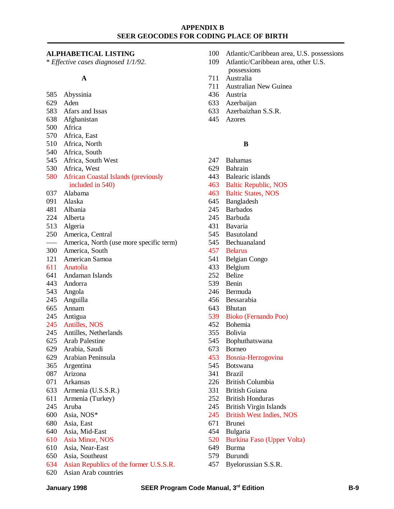#### **ALPHABETICAL LISTING**

\* *Effective cases diagnosed 1/1/92.*

#### **A**

- Abyssinia
- Aden
- Afars and Issas
- Afghanistan
- Africa
- Africa, East
- Africa, North
- Africa, South
- Africa, South West
- Africa, West
- African Coastal Islands (previously included in 540)
- Alabama
- Alaska
- Albania
- Alberta
- Algeria
- America, Central
- ––– America, North (use more specific term)
- America, South
- American Samoa
- Anatolia
- Andaman Islands
- Andorra
- Angola
- Anguilla
- Annam
- Antigua
- Antilles, NOS
- Antilles, Netherlands
- Arab Palestine
- Arabia, Saudi
- Arabian Peninsula
- Argentina
- Arizona
- Arkansas
- Armenia (U.S.S.R.)
- Armenia (Turkey)
- Aruba
- Asia, NOS\*
- Asia, East
- Asia, Mid-East
- Asia Minor, NOS
- Asia, Near-East
- Asia, Southeast
- Asian Republics of the former U.S.S.R.
- Asian Arab countries
- Atlantic/Caribbean area, U.S. possessions
- Atlantic/Caribbean area, other U.S. possessions
- Australia
- Australian New Guinea
- Austria
- Azerbaijan
- Azerbaizhan S.S.R.
- Azores

#### **B**

- Bahamas
- Bahrain
- Balearic islands
- Baltic Republic, NOS
- Baltic States, NOS
- Bangladesh
- Barbados
- Barbuda
- Bavaria
- Basutoland
- Bechuanaland
- Belarus
- Belgian Congo
- Belgium
- Belize
- Benin
- Bermuda
- Bessarabia
- Bhutan
- Bioko (Fernando Poo)
- Bohemia
- Bolivia
- Bophuthatswana
- Borneo
- Bosnia-Herzogovina
- Botswana
- Brazil
- British Columbia
- British Guiana
- British Honduras
- British Virgin Islands
- British West Indies, NOS
- Brunei
- Bulgaria
- Burkina Faso (Upper Volta)
- Burma
- Burundi
- Byelorussian S.S.R.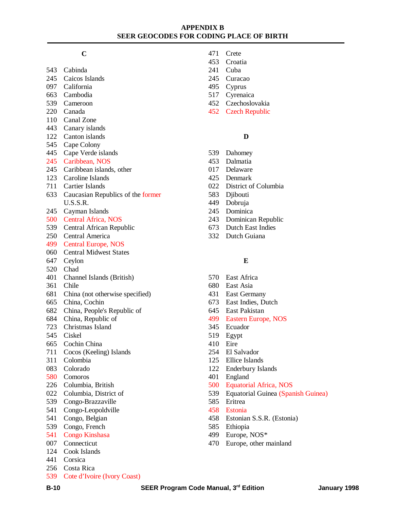#### **C**

- Cabinda
- Caicos Islands
- California
- Cambodia
- Cameroon
- Canada
- Canal Zone
- Canary islands
- Canton islands
- Cape Colony
- Cape Verde islands
- Caribbean, NOS
- Caribbean islands, other
- Caroline Islands
- Cartier Islands
- Caucasian Republics of the former U.S.S.R.
- Cayman Islands
- Central Africa, NOS
- Central African Republic
- Central America
- Central Europe, NOS
- Central Midwest States
- Ceylon
- Chad
- Channel Islands (British)
- Chile
- China (not otherwise specified)
- China, Cochin
- China, People's Republic of
- China, Republic of
- Christmas Island
- Ciskel
- Cochin China
- Cocos (Keeling) Islands
- Colombia
- Colorado
- Comoros
- Columbia, British
- Columbia, District of
- Congo-Brazzaville
- Congo-Leopoldville
- Congo, Belgian
- Congo, French
- Congo Kinshasa
- Connecticut
- Cook Islands
- Corsica
- Costa Rica
- Cote d'Ivoire (Ivory Coast)
- Crete
- Croatia
- Cuba
- Curacao
- Cyprus
- Cyrenaica
- Czechoslovakia
- Czech Republic

## **D**

- Dahomey
- Dalmatia
- Delaware
- Denmark
- District of Columbia
- Djibouti
- Dobruja
- Dominica
- Dominican Republic
- Dutch East Indies
- Dutch Guiana

#### **E**

- East Africa
- East Asia
- East Germany
- East Indies, Dutch
- East Pakistan
- Eastern Europe, NOS
- Ecuador
- Egypt
- Eire
- El Salvador
- Ellice Islands
- Enderbury Islands
- England
- Equatorial Africa, NOS
- Equatorial Guinea (Spanish Guinea)
- Eritrea
- Estonia
- Estonian S.S.R. (Estonia)
- Ethiopia
- Europe, NOS\*
- Europe, other mainland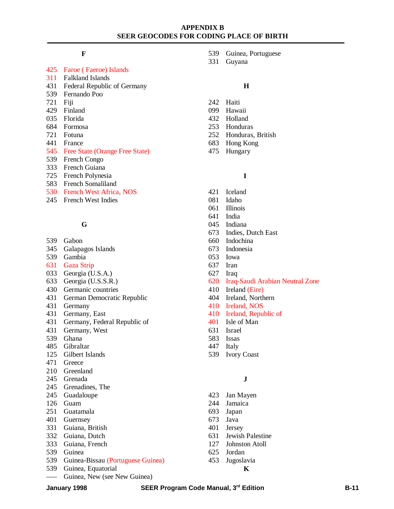### **F**

#### Faroe ( Faeroe) Islands

- Falkland Islands
- Federal Republic of Germany
- Fernando Poo
- Fiji
- Finland
- Florida
- Formosa
- Fotuna
- France
- Free State (Orange Free State)
- French Congo
- French Guiana
- French Polynesia
- French Somaliland
- French West Africa, NOS
- French West Indies

## **G**

- Gabon
- Galapagos Islands
- Gambia
- Gaza Strip
- Georgia (U.S.A.)
- Georgia (U.S.S.R.)
- Germanic countries
- German Democratic Republic
- Germany
- Germany, East
- Germany, Federal Republic of
- Germany, West
- Ghana
- Gibraltar
- Gilbert Islands
- Greece
- Greenland
- Grenada
- Grenadines, The
- Guadaloupe
- Guam
- Guatamala
- Guernsey
- Guiana, British
- Guiana, Dutch
- Guiana, French
- Guinea
- Guinea-Bissau (Portuguese Guinea)
- Guinea, Equatorial
- ––– Guinea, New (see New Guinea)
- Guinea, Portuguese
- Guyana

#### **H**

- Haiti
- Hawaii
- Holland
- Honduras
- Honduras, British
- Hong Kong
- Hungary

#### **I**

- Iceland
- Idaho
- Illinois
- India
- Indiana
- Indies, Dutch East
- Indochina
- Indonesia
- Iowa
- Iran
- Iraq
- Iraq-Saudi Arabian Neutral Zone
- Ireland (Eire)
- Ireland, Northern
- Ireland, NOS
- Ireland, Republic of
- Isle of Man
- Israel
- Issas
- Italy
- Ivory Coast

#### **J**

- Jan Mayen
- Jamaica
- Japan
- Java
- Jersey
- Jewish Palestine
- Johnston Atoll
- Jordan
- Jugoslavia
	- **K**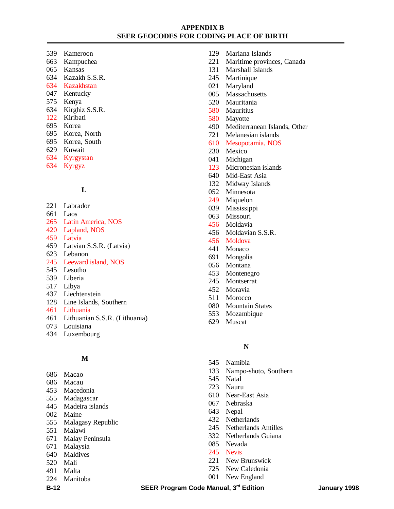- Kameroon
- Kampuchea
- Kansas
- Kazakh S.S.R.
- Kazakhstan
- Kentucky
- Kenya
- Kirghiz S.S.R.
- Kiribati
- Korea
- Korea, North
- Korea, South
- Kuwait
- Kyrgystan
- Kyrgyz

## **L**

- Labrador
- Laos
- Latin America, NOS
- Lapland, NOS
- Latvia
- Latvian S.S.R. (Latvia)
- Lebanon
- Leeward island, NOS
- Lesotho
- Liberia
- Libya
- Liechtenstein
- Line Islands, Southern
- Lithuania
- Lithuanian S.S.R. (Lithuania)
- Louisiana
- Luxembourg

## **M**

- Macao
- Macau
- Macedonia
- Madagascar
- Madeira islands
- Maine
- Malagasy Republic
- Malawi
- Malay Peninsula
- Malaysia
- Maldives
- Mali
- Malta
- Manitoba
- Mariana Islands
- Maritime provinces, Canada
- Marshall Islands
- Martinique
- Maryland
- Massachusetts
- Mauritania
- Mauritius
- Mayotte
- Mediterranean Islands, Other
- Melanesian islands
- Mesopotamia, NOS
- Mexico
- Michigan
- Micronesian islands
- Mid-East Asia
- Midway Islands
- Minnesota
- Miquelon
- Mississippi
- 063 Missouri
- Moldavia
- Moldavian S.S.R.
- Moldova
- Monaco
- Mongolia
- Montana
- Montenegro
- Montserrat
- Moravia
- Morocco
- Mountain States
- Mozambique
- Muscat

#### **N**

- Namibia
- Nampo-shoto, Southern
- Natal
- Nauru
- Near-East Asia
- Nebraska
- Nepal
- Netherlands
- Netherlands Antilles
- Netherlands Guiana
- Nevada
- Nevis
- New Brunswick
- New Caledonia
- New England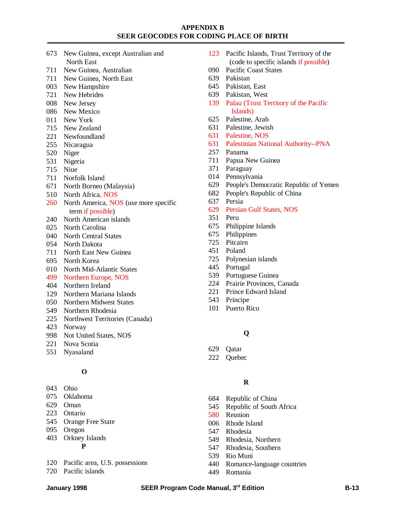- New Guinea, except Australian and North East
- New Guinea, Australian
- New Guinea, North East
- New Hampshire
- New Hebrides
- New Jersey
- New Mexico
- New York
- New Zealand
- Newfoundland
- Nicaragua
- Niger
- Nigeria
- Niue
- Norfolk Island
- North Borneo (Malaysia)
- North Africa, NOS
- North America, NOS (use more specific term if possible)
- North American islands
- North Carolina
- North Central States
- North Dakota
- North East New Guinea
- North Korea
- North Mid-Atlantic States
- Northern Europe, NOS
- Northern Ireland
- Northern Mariana Islands
- Northern Midwest States
- Northern Rhodesia
- Northwest Territories (Canada)
- Norway
- Not United States, NOS
- Nova Scotia
- Nyasaland

#### **O**

- Ohio
- Oklahoma
- Oman
- Ontario
- Orange Free State
- Oregon
- Orkney Islands
	- **P**
- Pacific area, U.S. possessions
- Pacific islands
- Pacific Islands, Trust Territory of the (code to specific islands if possible)
- Pacific Coast States
- Pakistan
- Pakistan, East
- Pakistan, West
- Palau (Trust Territory of the Pacific Islands)
- Palestine, Arab
- Palestine, Jewish
- Palestine, NOS
- Palestinian National Authority--PNA
- Panama
- Papua New Guinea
- Paraguay
- Pennsylvania
- People's Democratic Republic of Yemen
- People's Republic of China
- Persia
- Persian Gulf States, NOS
- Peru
- Philippine Islands
- Philippines
- Pitcairn
- Poland
- Polynesian islands
- Portugal
- Portuguese Guinea
- Prairie Provinces, Canada
- Prince Edward Island
- Principe
- Puerto Rico

#### **Q**

- Qatar
- Quebec

## **R**

- Republic of China
- Republic of South Africa
- Reunion
- Rhode Island
- Rhodesia
- Rhodesia, Northern
- Rhodesia, Southern
- Rio Muni
- Romance-language countries
- Romania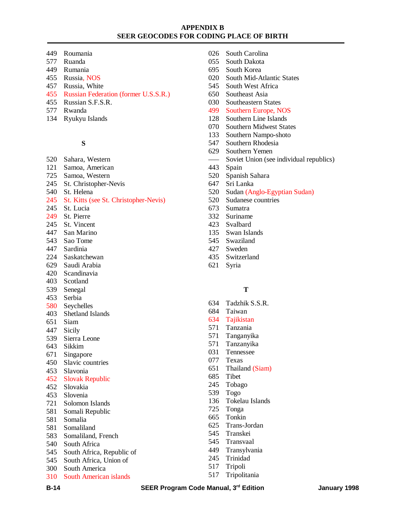- Roumania
- Ruanda
- Rumania
- Russia, NOS
- Russia, White
- Russian Federation (former U.S.S.R.)
- Russian S.F.S.R.
- Rwanda
- Ryukyu Islands

## **S**

- Sahara, Western
- Samoa, American
- Samoa, Western
- St. Christopher-Nevis
- St. Helena
- St. Kitts (see St. Christopher-Nevis)
- St. Lucia
- St. Pierre
- St. Vincent
- San Marino
- Sao Tome
- Sardinia
- Saskatchewan
- Saudi Arabia
- Scandinavia
- Scotland
- Senegal Serbia
- Seychelles
- Shetland Islands
- 
- Siam
- Sicily Sierra Leone
- Sikkim
- Singapore
- 
- Slavic countries
- Slavonia
- Slovak Republic
- Slovakia
- Slovenia
- Solomon Islands
- Somali Republic
- Somalia
- Somaliland
- Somaliland, French
- South Africa
- South Africa, Republic of
- South Africa, Union of
- South America
- South American islands
- South Carolina
- South Dakota
- South Korea
- South Mid-Atlantic States
- South West Africa
- Southeast Asia
- Southeastern States
- Southern Europe, NOS
- Southern Line Islands
- Southern Midwest States
- Southern Nampo-shoto
- Southern Rhodesia
- Southern Yemen
- ––– Soviet Union (see individual republics)
- Spain
- Spanish Sahara
- Sri Lanka
- Sudan (Anglo-Egyptian Sudan)
- Sudanese countries
- Sumatra
- Suriname
- Svalbard
- Swan Islands
- Swaziland
- Sweden
- Switzerland
- Syria

#### **T**

- Tadzhik S.S.R.
- Taiwan
- Tajikistan
- Tanzania
- Tanganyika
- Tanzanyika
- Tennessee
- Texas
- Thailand (Siam)
- Tibet
- Tobago
- Togo
- Tokelau Islands
- Tonga
- Tonkin
- Trans-Jordan
- Transkei
- Transvaal
- Transylvania

Tripolitania

- Trinidad
- Tripoli

**B-14 SEER Program Code Manual, 3rd Edition January 1998**